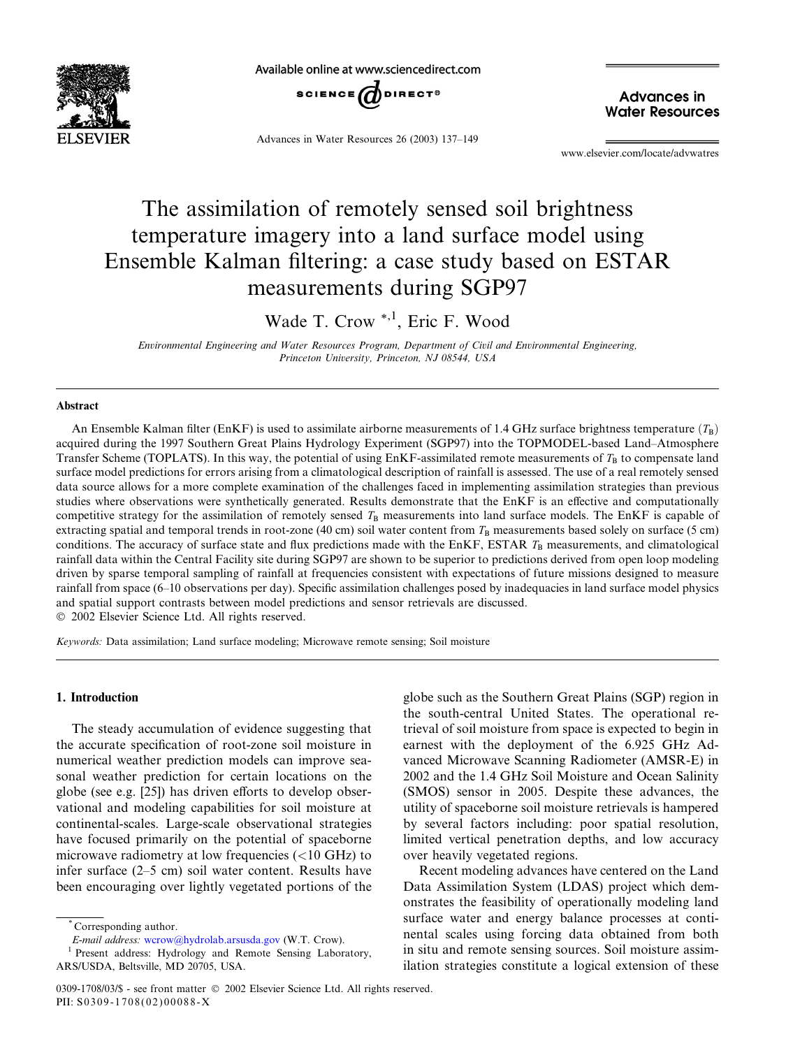

Available online at www.sciencedirect.com



Advances in Water Resources 26 (2003) 137–149

**Advances in Water Resources** 

www.elsevier.com/locate/advwatres

# The assimilation of remotely sensed soil brightness temperature imagery into a land surface model using Ensemble Kalman filtering: a case study based on ESTAR measurements during SGP97

Wade T. Crow<sup>\*,1</sup>, Eric F. Wood

Environmental Engineering and Water Resources Program, Department of Civil and Environmental Engineering, Princeton University, Princeton, NJ 08544, USA

### Abstract

An Ensemble Kalman filter (EnKF) is used to assimilate airborne measurements of 1.4 GHz surface brightness temperature  $(T_R)$ acquired during the 1997 Southern Great Plains Hydrology Experiment (SGP97) into the TOPMODEL-based Land–Atmosphere Transfer Scheme (TOPLATS). In this way, the potential of using EnKF-assimilated remote measurements of  $T_B$  to compensate land surface model predictions for errors arising from a climatological description of rainfall is assessed. The use of a real remotely sensed data source allows for a more complete examination of the challenges faced in implementing assimilation strategies than previous studies where observations were synthetically generated. Results demonstrate that the EnKF is an effective and computationally competitive strategy for the assimilation of remotely sensed  $T_B$  measurements into land surface models. The EnKF is capable of extracting spatial and temporal trends in root-zone (40 cm) soil water content from  $T<sub>B</sub>$  measurements based solely on surface (5 cm) conditions. The accuracy of surface state and flux predictions made with the EnKF, ESTAR  $T<sub>B</sub>$  measurements, and climatological rainfall data within the Central Facility site during SGP97 are shown to be superior to predictions derived from open loop modeling driven by sparse temporal sampling of rainfall at frequencies consistent with expectations of future missions designed to measure rainfall from space (6–10 observations per day). Specific assimilation challenges posed by inadequacies in land surface model physics and spatial support contrasts between model predictions and sensor retrievals are discussed. 2002 Elsevier Science Ltd. All rights reserved.

Keywords: Data assimilation; Land surface modeling; Microwave remote sensing; Soil moisture

# 1. Introduction

The steady accumulation of evidence suggesting that the accurate specification of root-zone soil moisture in numerical weather prediction models can improve seasonal weather prediction for certain locations on the globe (see e.g. [25]) has driven efforts to develop observational and modeling capabilities for soil moisture at continental-scales. Large-scale observational strategies have focused primarily on the potential of spaceborne microwave radiometry at low frequencies (<10 GHz) to infer surface (2–5 cm) soil water content. Results have been encouraging over lightly vegetated portions of the

Corresponding author.

E-mail address: [wcrow@hydrolab.arsusda.gov](mail to: wcrow@hydrolab.arsusda.gov) (W.T. Crow).

<sup>1</sup> Present address: Hydrology and Remote Sensing Laboratory, ARS/USDA, Beltsville, MD 20705, USA.

globe such as the Southern Great Plains (SGP) region in the south-central United States. The operational retrieval of soil moisture from space is expected to begin in earnest with the deployment of the 6.925 GHz Advanced Microwave Scanning Radiometer (AMSR-E) in 2002 and the 1.4 GHz Soil Moisture and Ocean Salinity (SMOS) sensor in 2005. Despite these advances, the utility of spaceborne soil moisture retrievals is hampered by several factors including: poor spatial resolution, limited vertical penetration depths, and low accuracy over heavily vegetated regions.

Recent modeling advances have centered on the Land Data Assimilation System (LDAS) project which demonstrates the feasibility of operationally modeling land surface water and energy balance processes at continental scales using forcing data obtained from both in situ and remote sensing sources. Soil moisture assimilation strategies constitute a logical extension of these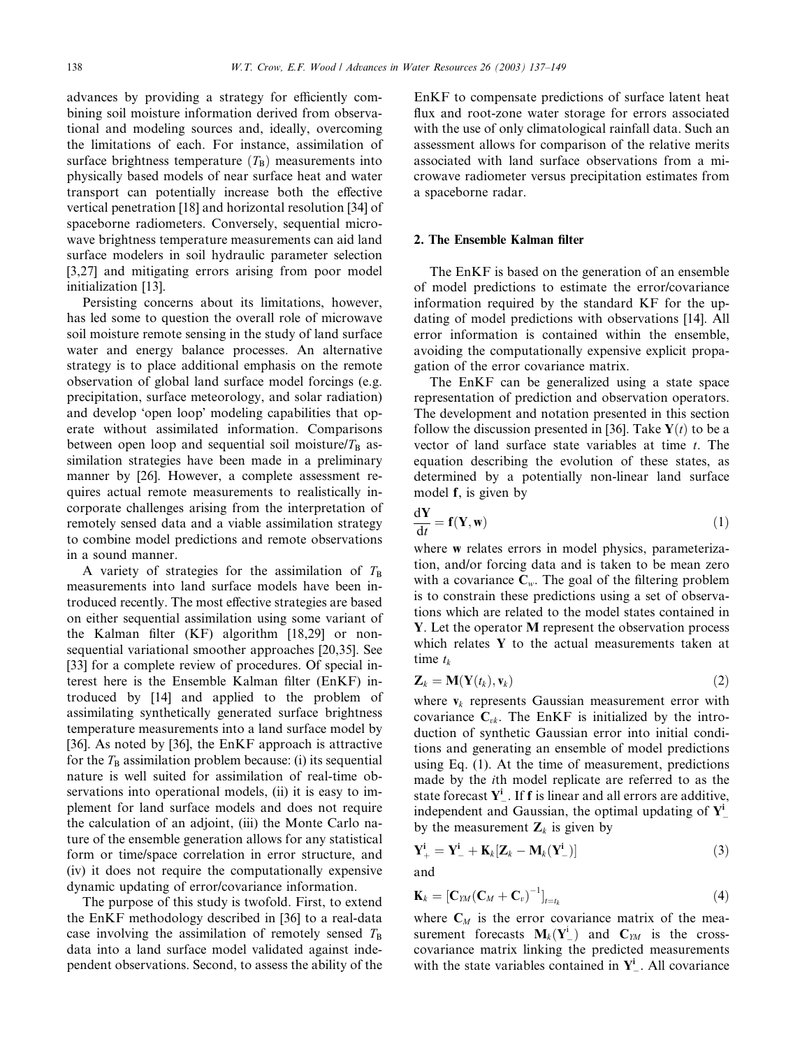advances by providing a strategy for efficiently combining soil moisture information derived from observational and modeling sources and, ideally, overcoming the limitations of each. For instance, assimilation of surface brightness temperature  $(T<sub>B</sub>)$  measurements into physically based models of near surface heat and water transport can potentially increase both the effective vertical penetration [18] and horizontal resolution [34] of spaceborne radiometers. Conversely, sequential microwave brightness temperature measurements can aid land surface modelers in soil hydraulic parameter selection [3,27] and mitigating errors arising from poor model initialization [13].

Persisting concerns about its limitations, however, has led some to question the overall role of microwave soil moisture remote sensing in the study of land surface water and energy balance processes. An alternative strategy is to place additional emphasis on the remote observation of global land surface model forcings (e.g. precipitation, surface meteorology, and solar radiation) and develop 'open loop' modeling capabilities that operate without assimilated information. Comparisons between open loop and sequential soil moisture/ $T_B$  assimilation strategies have been made in a preliminary manner by [26]. However, a complete assessment requires actual remote measurements to realistically incorporate challenges arising from the interpretation of remotely sensed data and a viable assimilation strategy to combine model predictions and remote observations in a sound manner.

A variety of strategies for the assimilation of  $T_B$ measurements into land surface models have been introduced recently. The most effective strategies are based on either sequential assimilation using some variant of the Kalman filter (KF) algorithm [18,29] or nonsequential variational smoother approaches [20,35]. See [33] for a complete review of procedures. Of special interest here is the Ensemble Kalman filter (EnKF) introduced by [14] and applied to the problem of assimilating synthetically generated surface brightness temperature measurements into a land surface model by [36]. As noted by [36], the EnKF approach is attractive for the  $T_{\text{B}}$  assimilation problem because: (i) its sequential nature is well suited for assimilation of real-time observations into operational models, (ii) it is easy to implement for land surface models and does not require the calculation of an adjoint, (iii) the Monte Carlo nature of the ensemble generation allows for any statistical form or time/space correlation in error structure, and (iv) it does not require the computationally expensive dynamic updating of error/covariance information.

The purpose of this study is twofold. First, to extend the EnKF methodology described in [36] to a real-data case involving the assimilation of remotely sensed  $T_{\rm B}$ data into a land surface model validated against independent observations. Second, to assess the ability of the EnKF to compensate predictions of surface latent heat flux and root-zone water storage for errors associated with the use of only climatological rainfall data. Such an assessment allows for comparison of the relative merits associated with land surface observations from a microwave radiometer versus precipitation estimates from a spaceborne radar.

#### 2. The Ensemble Kalman filter

The EnKF is based on the generation of an ensemble of model predictions to estimate the error/covariance information required by the standard KF for the updating of model predictions with observations [14]. All error information is contained within the ensemble, avoiding the computationally expensive explicit propagation of the error covariance matrix.

The EnKF can be generalized using a state space representation of prediction and observation operators. The development and notation presented in this section follow the discussion presented in [36]. Take  $Y(t)$  to be a vector of land surface state variables at time  $t$ . The equation describing the evolution of these states, as determined by a potentially non-linear land surface model f, is given by

$$
\frac{\mathrm{d}\mathbf{Y}}{\mathrm{d}t} = \mathbf{f}(\mathbf{Y}, \mathbf{w})\tag{1}
$$

where w relates errors in model physics, parameterization, and/or forcing data and is taken to be mean zero with a covariance  $C_w$ . The goal of the filtering problem is to constrain these predictions using a set of observations which are related to the model states contained in Y. Let the operator M represent the observation process which relates Y to the actual measurements taken at time  $t_k$ 

$$
\mathbf{Z}_k = \mathbf{M}(\mathbf{Y}(t_k), \mathbf{v}_k) \tag{2}
$$

where  $v_k$  represents Gaussian measurement error with covariance  $C_{vk}$ . The EnKF is initialized by the introduction of synthetic Gaussian error into initial conditions and generating an ensemble of model predictions using Eq. (1). At the time of measurement, predictions made by the ith model replicate are referred to as the state forecast  $Y^i_{-}$ . If **f** is linear and all errors are additive, independent and Gaussian, the optimal updating of  $Y^i_$ by the measurement  $\mathbf{Z}_k$  is given by

$$
\mathbf{Y}_{+}^{i} = \mathbf{Y}_{-}^{i} + \mathbf{K}_{k}[\mathbf{Z}_{k} - \mathbf{M}_{k}(\mathbf{Y}_{-}^{i})]
$$
\n(3)

and

$$
\mathbf{K}_k = [\mathbf{C}_{YM}(\mathbf{C}_M + \mathbf{C}_v)^{-1}]_{t=t_k} \tag{4}
$$

where  $C_M$  is the error covariance matrix of the measurement forecasts  $M_k(Y^i_-)$  and  $C_{YM}$  is the crosscovariance matrix linking the predicted measurements with the state variables contained in  $Y^i$ . All covariance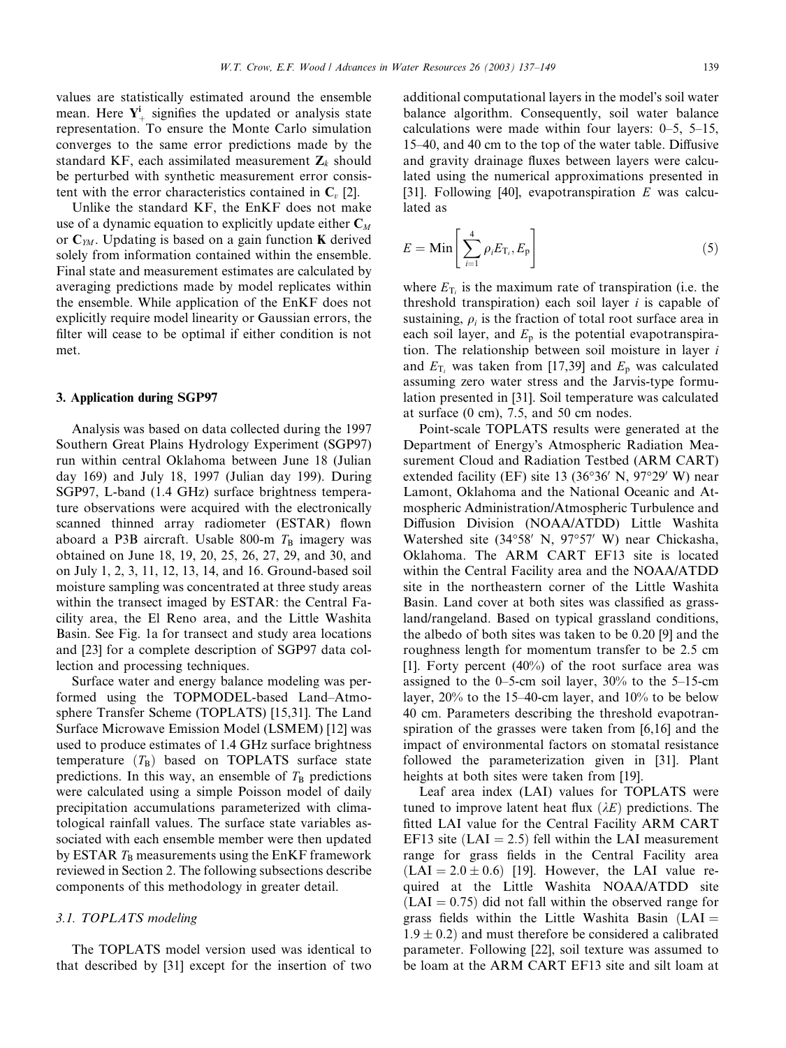values are statistically estimated around the ensemble mean. Here  $Y^i_+$  signifies the updated or analysis state representation. To ensure the Monte Carlo simulation converges to the same error predictions made by the standard KF, each assimilated measurement  $\mathbf{Z}_k$  should be perturbed with synthetic measurement error consistent with the error characteristics contained in  $C_v$  [2].

Unlike the standard KF, the EnKF does not make use of a dynamic equation to explicitly update either  $C_M$ or  $C_{YM}$ . Updating is based on a gain function **K** derived solely from information contained within the ensemble. Final state and measurement estimates are calculated by averaging predictions made by model replicates within the ensemble. While application of the EnKF does not explicitly require model linearity or Gaussian errors, the filter will cease to be optimal if either condition is not met.

#### 3. Application during SGP97

Analysis was based on data collected during the 1997 Southern Great Plains Hydrology Experiment (SGP97) run within central Oklahoma between June 18 (Julian day 169) and July 18, 1997 (Julian day 199). During SGP97, L-band (1.4 GHz) surface brightness temperature observations were acquired with the electronically scanned thinned array radiometer (ESTAR) flown aboard a P3B aircraft. Usable 800-m  $T_B$  imagery was obtained on June 18, 19, 20, 25, 26, 27, 29, and 30, and on July 1, 2, 3, 11, 12, 13, 14, and 16. Ground-based soil moisture sampling was concentrated at three study areas within the transect imaged by ESTAR: the Central Facility area, the El Reno area, and the Little Washita Basin. See Fig. 1a for transect and study area locations and [23] for a complete description of SGP97 data collection and processing techniques.

Surface water and energy balance modeling was performed using the TOPMODEL-based Land–Atmosphere Transfer Scheme (TOPLATS) [15,31]. The Land Surface Microwave Emission Model (LSMEM) [12] was used to produce estimates of 1.4 GHz surface brightness temperature  $(T_B)$  based on TOPLATS surface state predictions. In this way, an ensemble of  $T<sub>B</sub>$  predictions were calculated using a simple Poisson model of daily precipitation accumulations parameterized with climatological rainfall values. The surface state variables associated with each ensemble member were then updated by ESTAR  $T<sub>B</sub>$  measurements using the EnKF framework reviewed in Section 2. The following subsections describe components of this methodology in greater detail.

#### 3.1. TOPLATS modeling

The TOPLATS model version used was identical to that described by [31] except for the insertion of two

additional computational layers in the model's soil water balance algorithm. Consequently, soil water balance calculations were made within four layers: 0–5, 5–15, 15–40, and 40 cm to the top of the water table. Diffusive and gravity drainage fluxes between layers were calculated using the numerical approximations presented in [31]. Following [40], evapotranspiration  $E$  was calculated as

$$
E = \text{Min}\left[\sum_{i=1}^{4} \rho_i E_{\text{T}_i}, E_{\text{p}}\right]
$$
 (5)

where  $E_{\text{T}_i}$  is the maximum rate of transpiration (i.e. the threshold transpiration) each soil layer  $i$  is capable of sustaining,  $\rho_i$  is the fraction of total root surface area in each soil layer, and  $E_p$  is the potential evapotranspiration. The relationship between soil moisture in layer  $i$ and  $E_{\text{T}_i}$  was taken from [17,39] and  $E_{\text{p}}$  was calculated assuming zero water stress and the Jarvis-type formulation presented in [31]. Soil temperature was calculated at surface (0 cm), 7.5, and 50 cm nodes.

Point-scale TOPLATS results were generated at the Department of Energy's Atmospheric Radiation Measurement Cloud and Radiation Testbed (ARM CART) extended facility (EF) site  $13(36°36' N, 97°29' W)$  near Lamont, Oklahoma and the National Oceanic and Atmospheric Administration/Atmospheric Turbulence and Diffusion Division (NOAA/ATDD) Little Washita Watershed site (34°58' N, 97°57' W) near Chickasha, Oklahoma. The ARM CART EF13 site is located within the Central Facility area and the NOAA/ATDD site in the northeastern corner of the Little Washita Basin. Land cover at both sites was classified as grassland/rangeland. Based on typical grassland conditions, the albedo of both sites was taken to be 0.20 [9] and the roughness length for momentum transfer to be 2.5 cm [1]. Forty percent  $(40\%)$  of the root surface area was assigned to the 0–5-cm soil layer, 30% to the 5–15-cm layer, 20% to the 15–40-cm layer, and 10% to be below 40 cm. Parameters describing the threshold evapotranspiration of the grasses were taken from [6,16] and the impact of environmental factors on stomatal resistance followed the parameterization given in [31]. Plant heights at both sites were taken from [19].

Leaf area index (LAI) values for TOPLATS were tuned to improve latent heat flux  $(\lambda E)$  predictions. The fitted LAI value for the Central Facility ARM CART EF13 site (LAI = 2.5) fell within the LAI measurement range for grass fields in the Central Facility area  $(LAI = 2.0 \pm 0.6)$  [19]. However, the LAI value required at the Little Washita NOAA/ATDD site  $(LAI = 0.75)$  did not fall within the observed range for grass fields within the Little Washita Basin  $(LAI =$  $1.9 \pm 0.2$  and must therefore be considered a calibrated parameter. Following [22], soil texture was assumed to be loam at the ARM CART EF13 site and silt loam at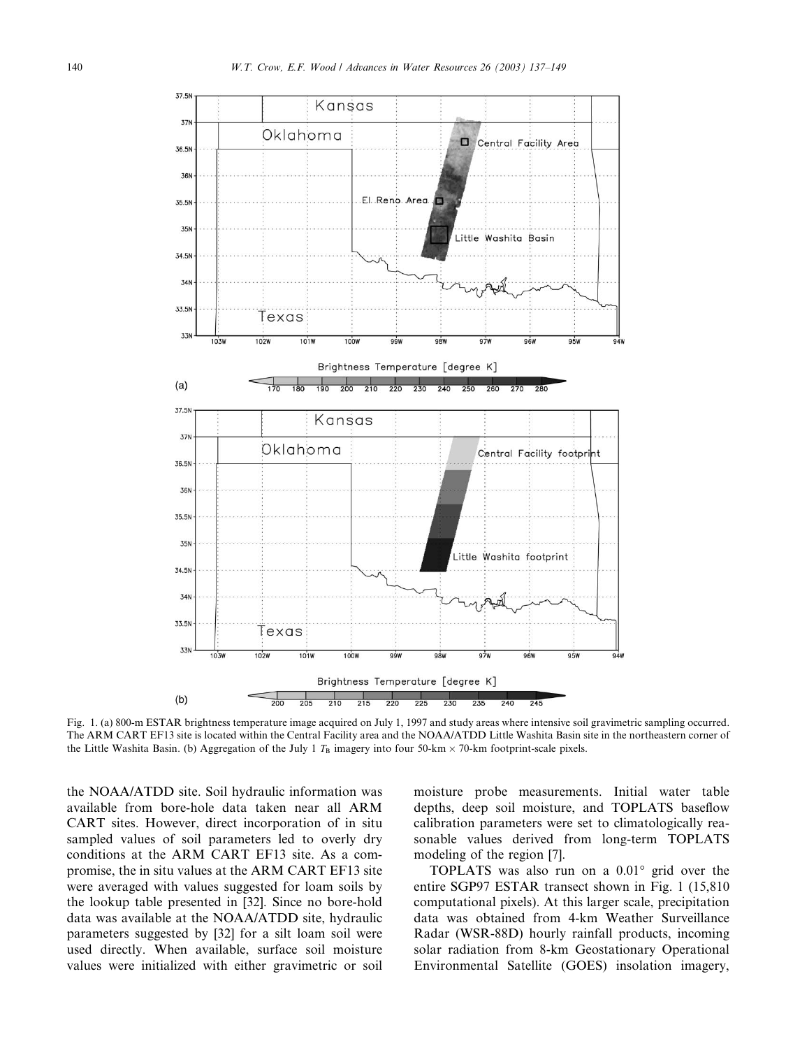

Fig. 1. (a) 800-m ESTAR brightness temperature image acquired on July 1, 1997 and study areas where intensive soil gravimetric sampling occurred. The ARM CART EF13 site is located within the Central Facility area and the NOAA/ATDD Little Washita Basin site in the northeastern corner of the Little Washita Basin. (b) Aggregation of the July 1  $T_B$  imagery into four 50-km  $\times$  70-km footprint-scale pixels.

the NOAA/ATDD site. Soil hydraulic information was available from bore-hole data taken near all ARM CART sites. However, direct incorporation of in situ sampled values of soil parameters led to overly dry conditions at the ARM CART EF13 site. As a compromise, the in situ values at the ARM CART EF13 site were averaged with values suggested for loam soils by the lookup table presented in [32]. Since no bore-hold data was available at the NOAA/ATDD site, hydraulic parameters suggested by [32] for a silt loam soil were used directly. When available, surface soil moisture values were initialized with either gravimetric or soil moisture probe measurements. Initial water table depths, deep soil moisture, and TOPLATS baseflow calibration parameters were set to climatologically reasonable values derived from long-term TOPLATS modeling of the region [7].

TOPLATS was also run on a  $0.01^{\circ}$  grid over the entire SGP97 ESTAR transect shown in Fig. 1 (15,810 computational pixels). At this larger scale, precipitation data was obtained from 4-km Weather Surveillance Radar (WSR-88D) hourly rainfall products, incoming solar radiation from 8-km Geostationary Operational Environmental Satellite (GOES) insolation imagery,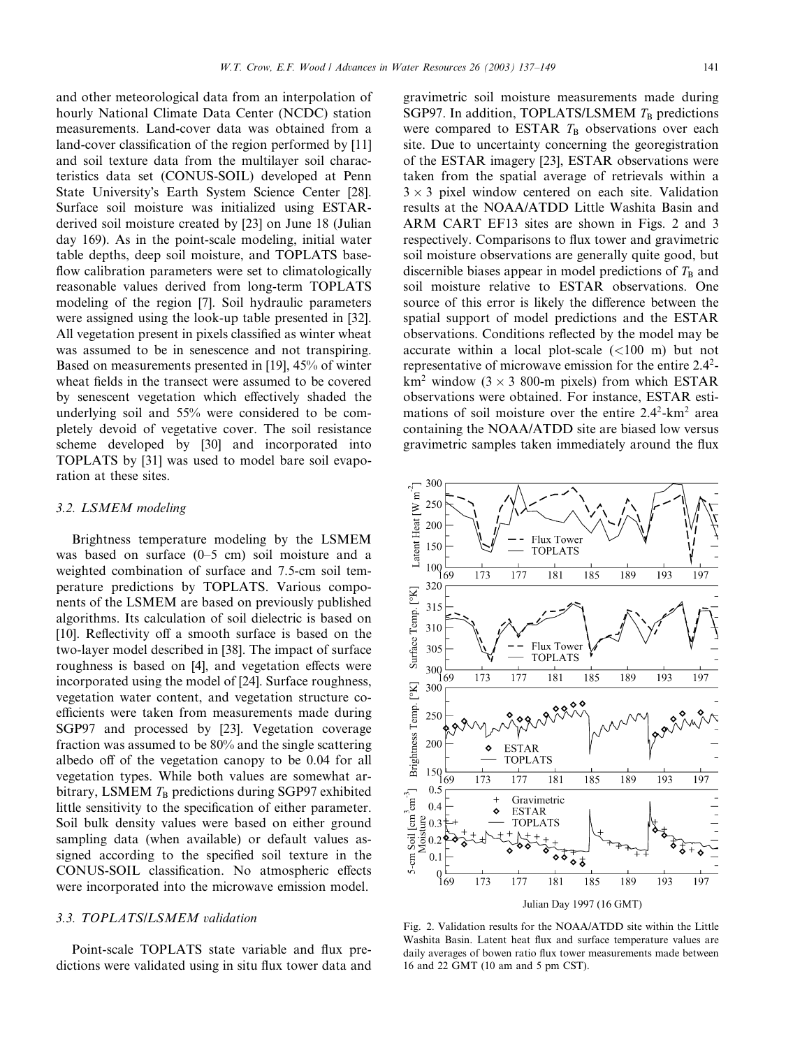and other meteorological data from an interpolation of hourly National Climate Data Center (NCDC) station measurements. Land-cover data was obtained from a land-cover classification of the region performed by [11] and soil texture data from the multilayer soil characteristics data set (CONUS-SOIL) developed at Penn State University's Earth System Science Center [28]. Surface soil moisture was initialized using ESTARderived soil moisture created by [23] on June 18 (Julian day 169). As in the point-scale modeling, initial water table depths, deep soil moisture, and TOPLATS baseflow calibration parameters were set to climatologically reasonable values derived from long-term TOPLATS modeling of the region [7]. Soil hydraulic parameters were assigned using the look-up table presented in [32]. All vegetation present in pixels classified as winter wheat was assumed to be in senescence and not transpiring. Based on measurements presented in [19], 45% of winter wheat fields in the transect were assumed to be covered by senescent vegetation which effectively shaded the underlying soil and 55% were considered to be completely devoid of vegetative cover. The soil resistance scheme developed by [30] and incorporated into TOPLATS by [31] was used to model bare soil evaporation at these sites.

#### 3.2. LSMEM modeling

Brightness temperature modeling by the LSMEM was based on surface (0–5 cm) soil moisture and a weighted combination of surface and 7.5-cm soil temperature predictions by TOPLATS. Various components of the LSMEM are based on previously published algorithms. Its calculation of soil dielectric is based on [10]. Reflectivity off a smooth surface is based on the two-layer model described in [38]. The impact of surface roughness is based on [4], and vegetation effects were incorporated using the model of [24]. Surface roughness, vegetation water content, and vegetation structure coefficients were taken from measurements made during SGP97 and processed by [23]. Vegetation coverage fraction was assumed to be 80% and the single scattering albedo off of the vegetation canopy to be 0.04 for all vegetation types. While both values are somewhat arbitrary, LSMEM  $T_B$  predictions during SGP97 exhibited little sensitivity to the specification of either parameter. Soil bulk density values were based on either ground sampling data (when available) or default values assigned according to the specified soil texture in the CONUS-SOIL classification. No atmospheric effects were incorporated into the microwave emission model.

#### 3.3. TOPLATS/LSMEM validation

Point-scale TOPLATS state variable and flux predictions were validated using in situ flux tower data and gravimetric soil moisture measurements made during SGP97. In addition, TOPLATS/LSMEM  $T_B$  predictions were compared to ESTAR  $T_B$  observations over each site. Due to uncertainty concerning the georegistration of the ESTAR imagery [23], ESTAR observations were taken from the spatial average of retrievals within a  $3 \times 3$  pixel window centered on each site. Validation results at the NOAA/ATDD Little Washita Basin and ARM CART EF13 sites are shown in Figs. 2 and 3 respectively. Comparisons to flux tower and gravimetric soil moisture observations are generally quite good, but discernible biases appear in model predictions of  $T<sub>B</sub>$  and soil moisture relative to ESTAR observations. One source of this error is likely the difference between the spatial support of model predictions and the ESTAR observations. Conditions reflected by the model may be accurate within a local plot-scale  $(<100$  m) but not representative of microwave emission for the entire 2.42 km<sup>2</sup> window ( $3 \times 3$  800-m pixels) from which ESTAR observations were obtained. For instance, ESTAR estimations of soil moisture over the entire  $2.4^2$ -km<sup>2</sup> area containing the NOAA/ATDD site are biased low versus gravimetric samples taken immediately around the flux



Fig. 2. Validation results for the NOAA/ATDD site within the Little Washita Basin. Latent heat flux and surface temperature values are daily averages of bowen ratio flux tower measurements made between 16 and 22 GMT (10 am and 5 pm CST).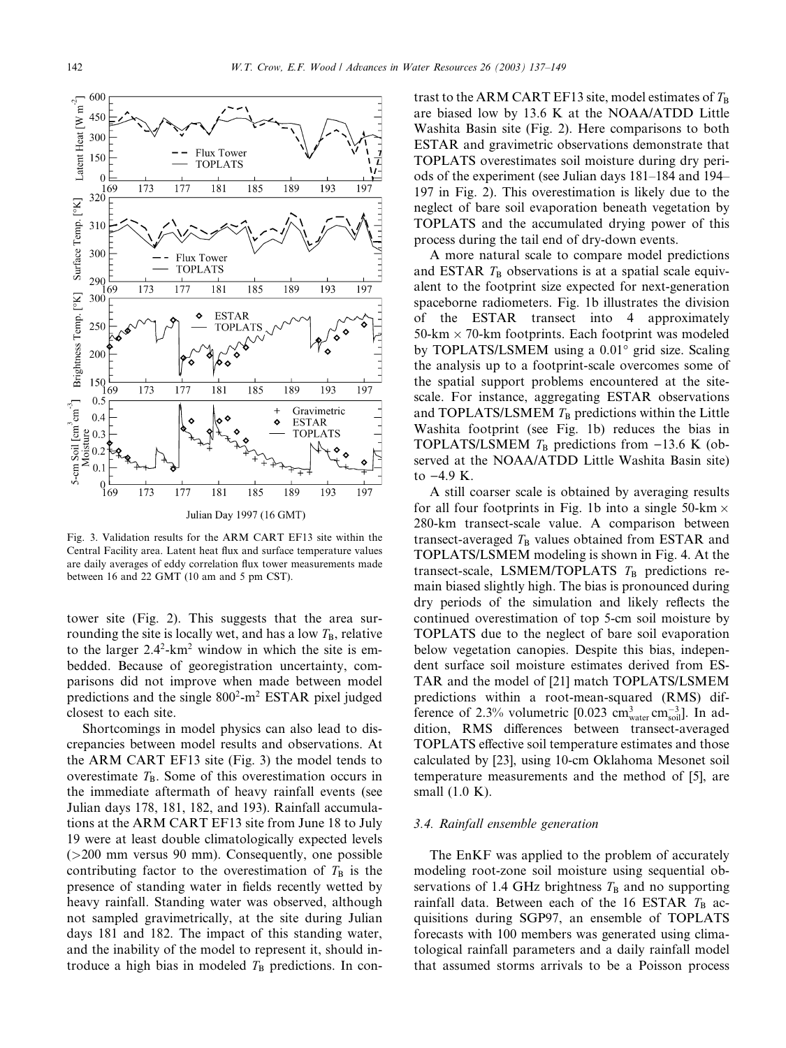

Fig. 3. Validation results for the ARM CART EF13 site within the Central Facility area. Latent heat flux and surface temperature values are daily averages of eddy correlation flux tower measurements made between 16 and 22 GMT (10 am and 5 pm CST).

tower site (Fig. 2). This suggests that the area surrounding the site is locally wet, and has a low  $T_{\rm B}$ , relative to the larger  $2.4^2$ -km<sup>2</sup> window in which the site is embedded. Because of georegistration uncertainty, comparisons did not improve when made between model predictions and the single  $800^2$ -m<sup>2</sup> ESTAR pixel judged closest to each site.

Shortcomings in model physics can also lead to discrepancies between model results and observations. At the ARM CART EF13 site (Fig. 3) the model tends to overestimate  $T_B$ . Some of this overestimation occurs in the immediate aftermath of heavy rainfall events (see Julian days 178, 181, 182, and 193). Rainfall accumulations at the ARM CART EF13 site from June 18 to July 19 were at least double climatologically expected levels (>200 mm versus 90 mm). Consequently, one possible contributing factor to the overestimation of  $T<sub>B</sub>$  is the presence of standing water in fields recently wetted by heavy rainfall. Standing water was observed, although not sampled gravimetrically, at the site during Julian days 181 and 182. The impact of this standing water, and the inability of the model to represent it, should introduce a high bias in modeled  $T<sub>B</sub>$  predictions. In contrast to the ARM CART EF13 site, model estimates of  $T_{\rm B}$ are biased low by 13.6 K at the NOAA/ATDD Little Washita Basin site (Fig. 2). Here comparisons to both ESTAR and gravimetric observations demonstrate that TOPLATS overestimates soil moisture during dry periods of the experiment (see Julian days 181–184 and 194– 197 in Fig. 2). This overestimation is likely due to the neglect of bare soil evaporation beneath vegetation by TOPLATS and the accumulated drying power of this process during the tail end of dry-down events.

A more natural scale to compare model predictions and ESTAR  $T<sub>B</sub>$  observations is at a spatial scale equivalent to the footprint size expected for next-generation spaceborne radiometers. Fig. 1b illustrates the division of the ESTAR transect into 4 approximately  $50$ -km  $\times$  70-km footprints. Each footprint was modeled by TOPLATS/LSMEM using a 0.01° grid size. Scaling the analysis up to a footprint-scale overcomes some of the spatial support problems encountered at the sitescale. For instance, aggregating ESTAR observations and TOPLATS/LSMEM  $T<sub>B</sub>$  predictions within the Little Washita footprint (see Fig. 1b) reduces the bias in TOPLATS/LSMEM  $T_B$  predictions from -13.6 K (observed at the NOAA/ATDD Little Washita Basin site) to  $-4.9$  K.

A still coarser scale is obtained by averaging results for all four footprints in Fig. 1b into a single 50-km  $\times$ 280-km transect-scale value. A comparison between transect-averaged  $T_B$  values obtained from ESTAR and TOPLATS/LSMEM modeling is shown in Fig. 4. At the transect-scale, LSMEM/TOPLATS  $T_B$  predictions remain biased slightly high. The bias is pronounced during dry periods of the simulation and likely reflects the continued overestimation of top 5-cm soil moisture by TOPLATS due to the neglect of bare soil evaporation below vegetation canopies. Despite this bias, independent surface soil moisture estimates derived from ES-TAR and the model of [21] match TOPLATS/LSMEM predictions within a root-mean-squared (RMS) difference of 2.3% volumetric [0.023  $\text{cm}^3_{\text{water}} \text{cm}^{-3}_{\text{solid}}$ ]. In addition, RMS differences between transect-averaged TOPLATS effective soil temperature estimates and those calculated by [23], using 10-cm Oklahoma Mesonet soil temperature measurements and the method of [5], are small (1.0 K).

# 3.4. Rainfall ensemble generation

The EnKF was applied to the problem of accurately modeling root-zone soil moisture using sequential observations of 1.4 GHz brightness  $T_\text{B}$  and no supporting rainfall data. Between each of the 16 ESTAR  $T<sub>B</sub>$  acquisitions during SGP97, an ensemble of TOPLATS forecasts with 100 members was generated using climatological rainfall parameters and a daily rainfall model that assumed storms arrivals to be a Poisson process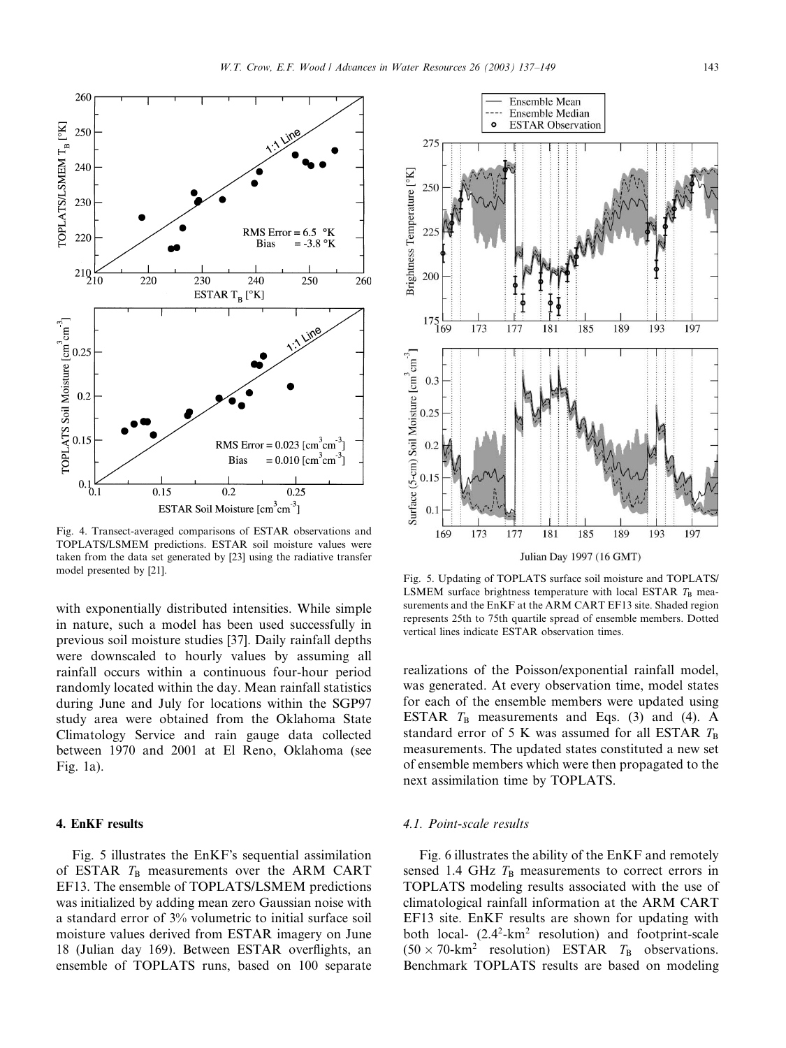



Fig. 4. Transect-averaged comparisons of ESTAR observations and TOPLATS/LSMEM predictions. ESTAR soil moisture values were taken from the data set generated by [23] using the radiative transfer model presented by [21]. Fig. 5. Updating of TOPLATS surface soil moisture and TOPLATS

with exponentially distributed intensities. While simple in nature, such a model has been used successfully in previous soil moisture studies [37]. Daily rainfall depths were downscaled to hourly values by assuming all rainfall occurs within a continuous four-hour period randomly located within the day. Mean rainfall statistics during June and July for locations within the SGP97 study area were obtained from the Oklahoma State Climatology Service and rain gauge data collected between 1970 and 2001 at El Reno, Oklahoma (see Fig. 1a).

# 4. EnKF results

Fig. 5 illustrates the EnKF's sequential assimilation of ESTAR  $T_B$  measurements over the ARM CART EF13. The ensemble of TOPLATS/LSMEM predictions was initialized by adding mean zero Gaussian noise with a standard error of 3% volumetric to initial surface soil moisture values derived from ESTAR imagery on June 18 (Julian day 169). Between ESTAR overflights, an ensemble of TOPLATS runs, based on 100 separate



LSMEM surface brightness temperature with local ESTAR  $T_B$  measurements and the EnKF at the ARM CART EF13 site. Shaded region represents 25th to 75th quartile spread of ensemble members. Dotted vertical lines indicate ESTAR observation times.

realizations of the Poisson/exponential rainfall model, was generated. At every observation time, model states for each of the ensemble members were updated using ESTAR  $T_B$  measurements and Eqs. (3) and (4). A standard error of 5 K was assumed for all ESTAR  $T_{\rm B}$ measurements. The updated states constituted a new set of ensemble members which were then propagated to the next assimilation time by TOPLATS.

# 4.1. Point-scale results

Fig. 6 illustrates the ability of the EnKF and remotely sensed 1.4 GHz  $T_B$  measurements to correct errors in TOPLATS modeling results associated with the use of climatological rainfall information at the ARM CART EF13 site. EnKF results are shown for updating with both local- $(2.4^2-km^2 \text{ resolution})$  and footprint-scale  $(50 \times 70 \text{-} \text{km}^2 \text{ resolution})$  ESTAR  $T_B$  observations. Benchmark TOPLATS results are based on modeling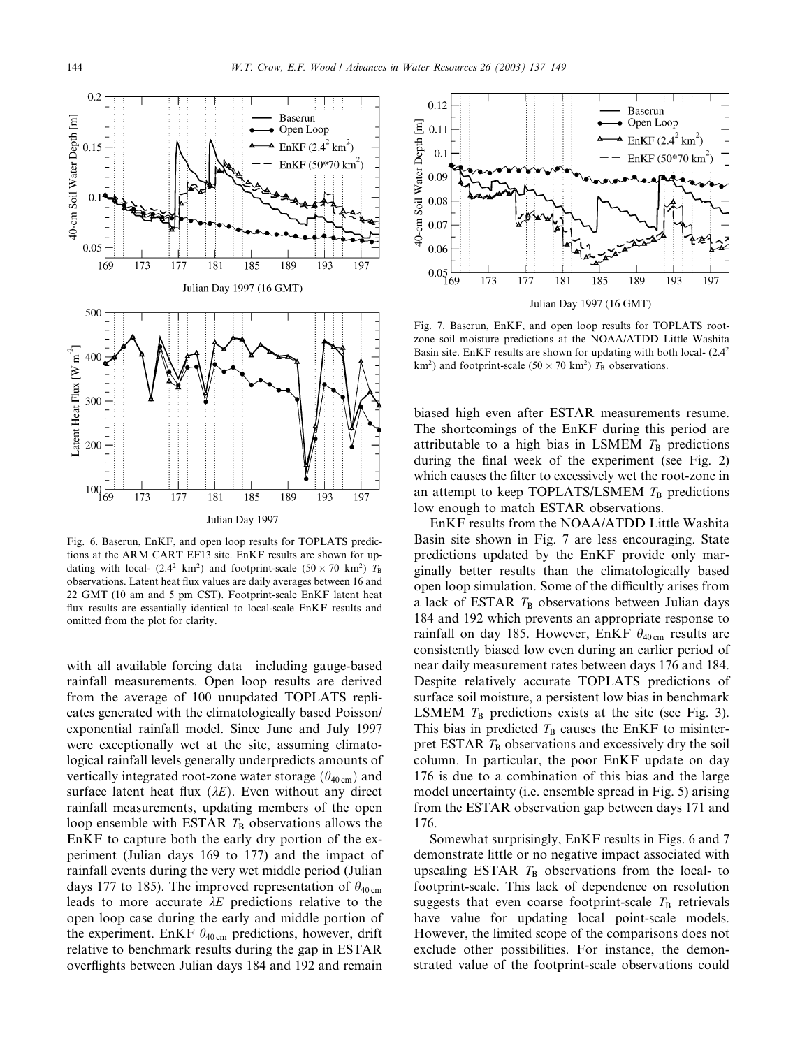

Fig. 6. Baserun, EnKF, and open loop results for TOPLATS predictions at the ARM CART EF13 site. EnKF results are shown for updating with local- (2.4<sup>2</sup> km<sup>2</sup>) and footprint-scale (50  $\times$  70 km<sup>2</sup>)  $T_B$ observations. Latent heat flux values are daily averages between 16 and 22 GMT (10 am and 5 pm CST). Footprint-scale EnKF latent heat flux results are essentially identical to local-scale EnKF results and omitted from the plot for clarity.

with all available forcing data—including gauge-based rainfall measurements. Open loop results are derived from the average of 100 unupdated TOPLATS replicates generated with the climatologically based Poisson/ exponential rainfall model. Since June and July 1997 were exceptionally wet at the site, assuming climatological rainfall levels generally underpredicts amounts of vertically integrated root-zone water storage  $(\theta_{40 \text{ cm}})$  and surface latent heat flux  $(\lambda E)$ . Even without any direct rainfall measurements, updating members of the open loop ensemble with ESTAR  $T_B$  observations allows the EnKF to capture both the early dry portion of the experiment (Julian days 169 to 177) and the impact of rainfall events during the very wet middle period (Julian days 177 to 185). The improved representation of  $\theta_{40 \text{ cm}}$ leads to more accurate  $\lambda E$  predictions relative to the open loop case during the early and middle portion of the experiment. EnKF  $\theta_{40 \text{ cm}}$  predictions, however, drift relative to benchmark results during the gap in ESTAR overflights between Julian days 184 and 192 and remain



Fig. 7. Baserun, EnKF, and open loop results for TOPLATS rootzone soil moisture predictions at the NOAA/ATDD Little Washita Basin site. EnKF results are shown for updating with both local- (2.42 km<sup>2</sup>) and footprint-scale (50  $\times$  70 km<sup>2</sup>)  $T_B$  observations.

biased high even after ESTAR measurements resume. The shortcomings of the EnKF during this period are attributable to a high bias in LSMEM  $T_B$  predictions during the final week of the experiment (see Fig. 2) which causes the filter to excessively wet the root-zone in an attempt to keep TOPLATS/LSMEM  $T<sub>B</sub>$  predictions low enough to match ESTAR observations.

EnKF results from the NOAA/ATDD Little Washita Basin site shown in Fig. 7 are less encouraging. State predictions updated by the EnKF provide only marginally better results than the climatologically based open loop simulation. Some of the difficultly arises from a lack of ESTAR  $T_B$  observations between Julian days 184 and 192 which prevents an appropriate response to rainfall on day 185. However, EnKF  $\theta_{40 \text{ cm}}$  results are consistently biased low even during an earlier period of near daily measurement rates between days 176 and 184. Despite relatively accurate TOPLATS predictions of surface soil moisture, a persistent low bias in benchmark LSMEM  $T_B$  predictions exists at the site (see Fig. 3). This bias in predicted  $T<sub>B</sub>$  causes the EnKF to misinterpret ESTAR  $T_B$  observations and excessively dry the soil column. In particular, the poor EnKF update on day 176 is due to a combination of this bias and the large model uncertainty (i.e. ensemble spread in Fig. 5) arising from the ESTAR observation gap between days 171 and 176.

Somewhat surprisingly, EnKF results in Figs. 6 and 7 demonstrate little or no negative impact associated with upscaling ESTAR  $T_B$  observations from the local- to footprint-scale. This lack of dependence on resolution suggests that even coarse footprint-scale  $T<sub>B</sub>$  retrievals have value for updating local point-scale models. However, the limited scope of the comparisons does not exclude other possibilities. For instance, the demonstrated value of the footprint-scale observations could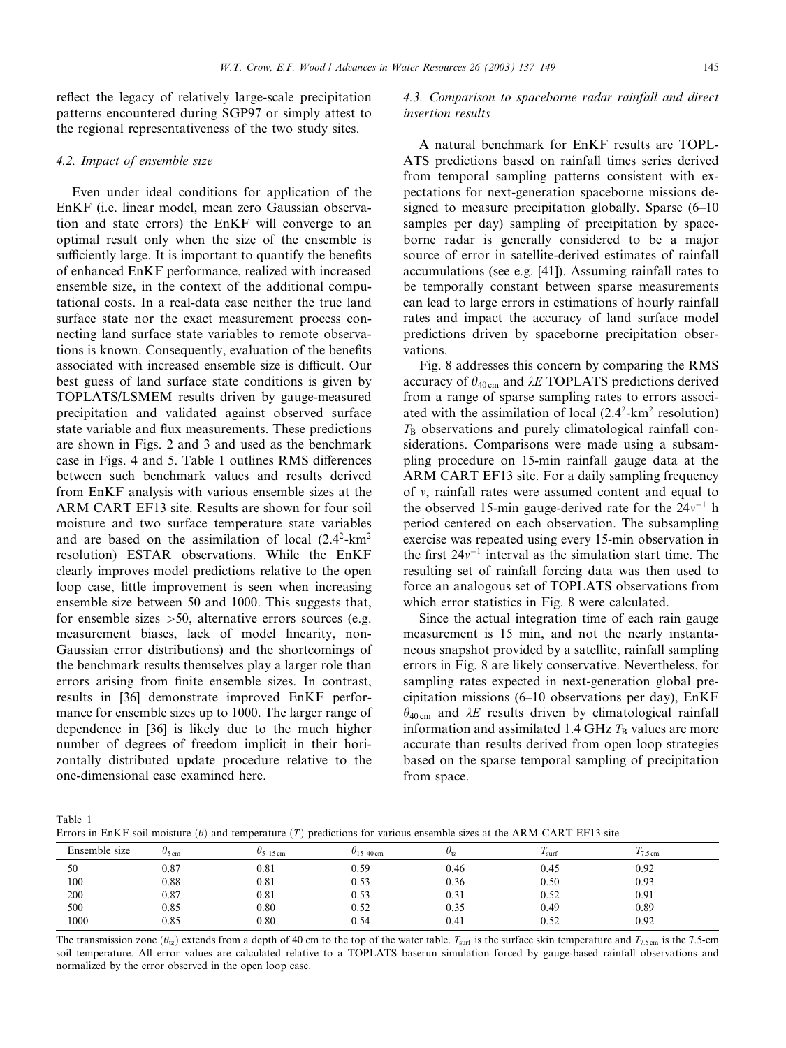reflect the legacy of relatively large-scale precipitation patterns encountered during SGP97 or simply attest to the regional representativeness of the two study sites.

## 4.2. Impact of ensemble size

Even under ideal conditions for application of the EnKF (i.e. linear model, mean zero Gaussian observation and state errors) the EnKF will converge to an optimal result only when the size of the ensemble is sufficiently large. It is important to quantify the benefits of enhanced EnKF performance, realized with increased ensemble size, in the context of the additional computational costs. In a real-data case neither the true land surface state nor the exact measurement process connecting land surface state variables to remote observations is known. Consequently, evaluation of the benefits associated with increased ensemble size is difficult. Our best guess of land surface state conditions is given by TOPLATS/LSMEM results driven by gauge-measured precipitation and validated against observed surface state variable and flux measurements. These predictions are shown in Figs. 2 and 3 and used as the benchmark case in Figs. 4 and 5. Table 1 outlines RMS differences between such benchmark values and results derived from EnKF analysis with various ensemble sizes at the ARM CART EF13 site. Results are shown for four soil moisture and two surface temperature state variables and are based on the assimilation of local  $(2.4^2$ -km<sup>2</sup> resolution) ESTAR observations. While the EnKF clearly improves model predictions relative to the open loop case, little improvement is seen when increasing ensemble size between 50 and 1000. This suggests that, for ensemble sizes  $>50$ , alternative errors sources (e.g. measurement biases, lack of model linearity, non-Gaussian error distributions) and the shortcomings of the benchmark results themselves play a larger role than errors arising from finite ensemble sizes. In contrast, results in [36] demonstrate improved EnKF performance for ensemble sizes up to 1000. The larger range of dependence in [36] is likely due to the much higher number of degrees of freedom implicit in their horizontally distributed update procedure relative to the one-dimensional case examined here.

# 4.3. Comparison to spaceborne radar rainfall and direct insertion results

A natural benchmark for EnKF results are TOPL-ATS predictions based on rainfall times series derived from temporal sampling patterns consistent with expectations for next-generation spaceborne missions designed to measure precipitation globally. Sparse (6–10 samples per day) sampling of precipitation by spaceborne radar is generally considered to be a major source of error in satellite-derived estimates of rainfall accumulations (see e.g. [41]). Assuming rainfall rates to be temporally constant between sparse measurements can lead to large errors in estimations of hourly rainfall rates and impact the accuracy of land surface model predictions driven by spaceborne precipitation observations.

Fig. 8 addresses this concern by comparing the RMS accuracy of  $\theta_{40 \text{ cm}}$  and  $\lambda E$  TOPLATS predictions derived from a range of sparse sampling rates to errors associated with the assimilation of local  $(2.4^2$ -km<sup>2</sup> resolution)  $T_{\text{B}}$  observations and purely climatological rainfall considerations. Comparisons were made using a subsampling procedure on 15-min rainfall gauge data at the ARM CART EF13 site. For a daily sampling frequency of  $v$ , rainfall rates were assumed content and equal to the observed 15-min gauge-derived rate for the  $24v^{-1}$  h period centered on each observation. The subsampling exercise was repeated using every 15-min observation in the first  $24v^{-1}$  interval as the simulation start time. The resulting set of rainfall forcing data was then used to force an analogous set of TOPLATS observations from which error statistics in Fig. 8 were calculated.

Since the actual integration time of each rain gauge measurement is 15 min, and not the nearly instantaneous snapshot provided by a satellite, rainfall sampling errors in Fig. 8 are likely conservative. Nevertheless, for sampling rates expected in next-generation global precipitation missions (6–10 observations per day), EnKF  $\theta_{40 \text{ cm}}$  and  $\lambda E$  results driven by climatological rainfall information and assimilated 1.4 GHz  $T<sub>B</sub>$  values are more accurate than results derived from open loop strategies based on the sparse temporal sampling of precipitation from space.

Table 1

Errors in EnKF soil moisture  $(\theta)$  and temperature  $(T)$  predictions for various ensemble sizes at the ARM CART EF13 site

| Ensemble size | $\theta$ <sub>5 cm</sub> | $\theta$ <sub>5–15 cm</sub> | $U_{15-40 \text{ cm}}$ | $U_{1z}$ | $\mathbf{r}$<br>I <sub>surf</sub> | $17.5 \text{ cm}$ |  |
|---------------|--------------------------|-----------------------------|------------------------|----------|-----------------------------------|-------------------|--|
| 50            | 0.87                     | 0.81                        | 0.59                   | 0.46     | 0.45                              | 0.92              |  |
| 100           | 0.88                     | 0.81                        | 0.53                   | 0.36     | 0.50                              | 0.93              |  |
| 200           | 0.87                     | 0.81                        | 0.53                   | 0.31     | 0.52                              | 0.91              |  |
| 500           | 0.85                     | 0.80                        | 0.52                   | 0.35     | 0.49                              | 0.89              |  |
| 1000          | 0.85                     | 0.80                        | 0.54                   | 0.41     | 0.52                              | 0.92              |  |

The transmission zone  $(\theta_{tr})$  extends from a depth of 40 cm to the top of the water table.  $T_{\text{surf}}$  is the surface skin temperature and  $T_{7.5 \text{ cm}}$  is the 7.5-cm soil temperature. All error values are calculated relative to a TOPLATS baserun simulation forced by gauge-based rainfall observations and normalized by the error observed in the open loop case.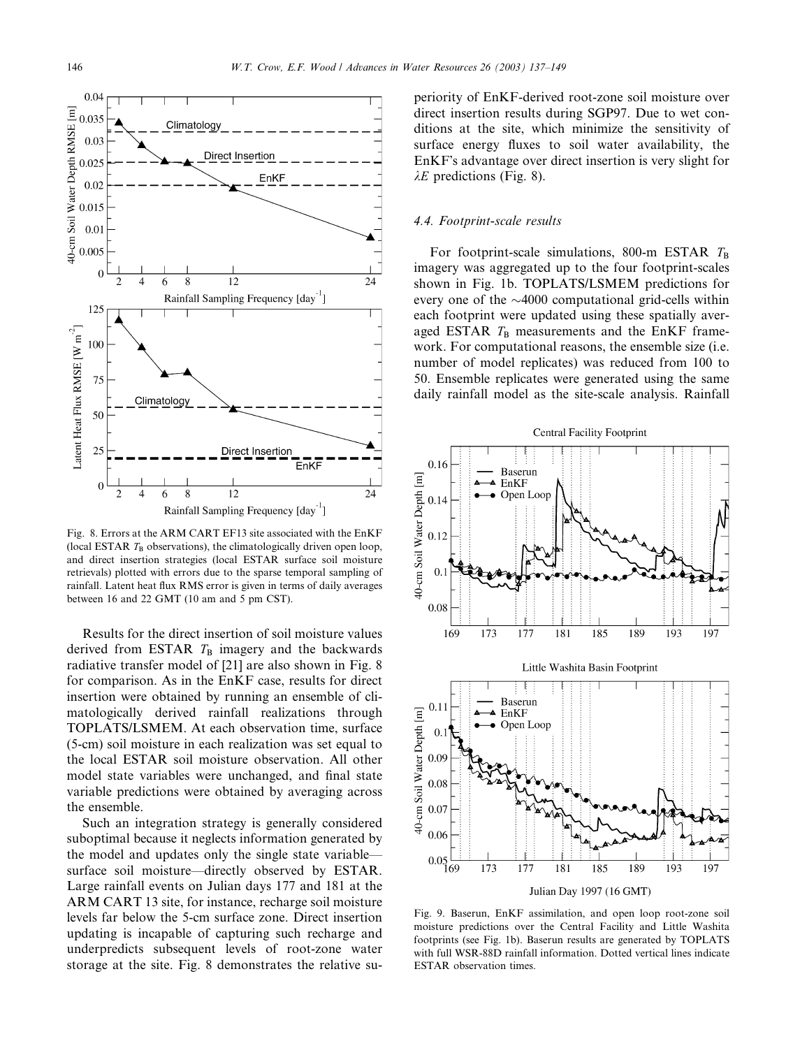

Fig. 8. Errors at the ARM CART EF13 site associated with the EnKF (local ESTAR  $T_B$  observations), the climatologically driven open loop, and direct insertion strategies (local ESTAR surface soil moisture retrievals) plotted with errors due to the sparse temporal sampling of rainfall. Latent heat flux RMS error is given in terms of daily averages between 16 and 22 GMT (10 am and 5 pm CST).

Results for the direct insertion of soil moisture values derived from ESTAR  $T<sub>B</sub>$  imagery and the backwards radiative transfer model of [21] are also shown in Fig. 8 for comparison. As in the EnKF case, results for direct insertion were obtained by running an ensemble of climatologically derived rainfall realizations through TOPLATS/LSMEM. At each observation time, surface (5-cm) soil moisture in each realization was set equal to the local ESTAR soil moisture observation. All other model state variables were unchanged, and final state variable predictions were obtained by averaging across the ensemble.

Such an integration strategy is generally considered suboptimal because it neglects information generated by the model and updates only the single state variable–– surface soil moisture—directly observed by ESTAR. Large rainfall events on Julian days 177 and 181 at the ARM CART 13 site, for instance, recharge soil moisture levels far below the 5-cm surface zone. Direct insertion updating is incapable of capturing such recharge and underpredicts subsequent levels of root-zone water storage at the site. Fig. 8 demonstrates the relative superiority of EnKF-derived root-zone soil moisture over direct insertion results during SGP97. Due to wet conditions at the site, which minimize the sensitivity of surface energy fluxes to soil water availability, the EnKF's advantage over direct insertion is very slight for  $\lambda E$  predictions (Fig. 8).

# 4.4. Footprint-scale results

For footprint-scale simulations, 800-m ESTAR  $T_B$ imagery was aggregated up to the four footprint-scales shown in Fig. 1b. TOPLATS/LSMEM predictions for every one of the  $\sim$ 4000 computational grid-cells within each footprint were updated using these spatially averaged ESTAR  $T_B$  measurements and the EnKF framework. For computational reasons, the ensemble size (i.e. number of model replicates) was reduced from 100 to 50. Ensemble replicates were generated using the same daily rainfall model as the site-scale analysis. Rainfall



Fig. 9. Baserun, EnKF assimilation, and open loop root-zone soil moisture predictions over the Central Facility and Little Washita footprints (see Fig. 1b). Baserun results are generated by TOPLATS with full WSR-88D rainfall information. Dotted vertical lines indicate ESTAR observation times.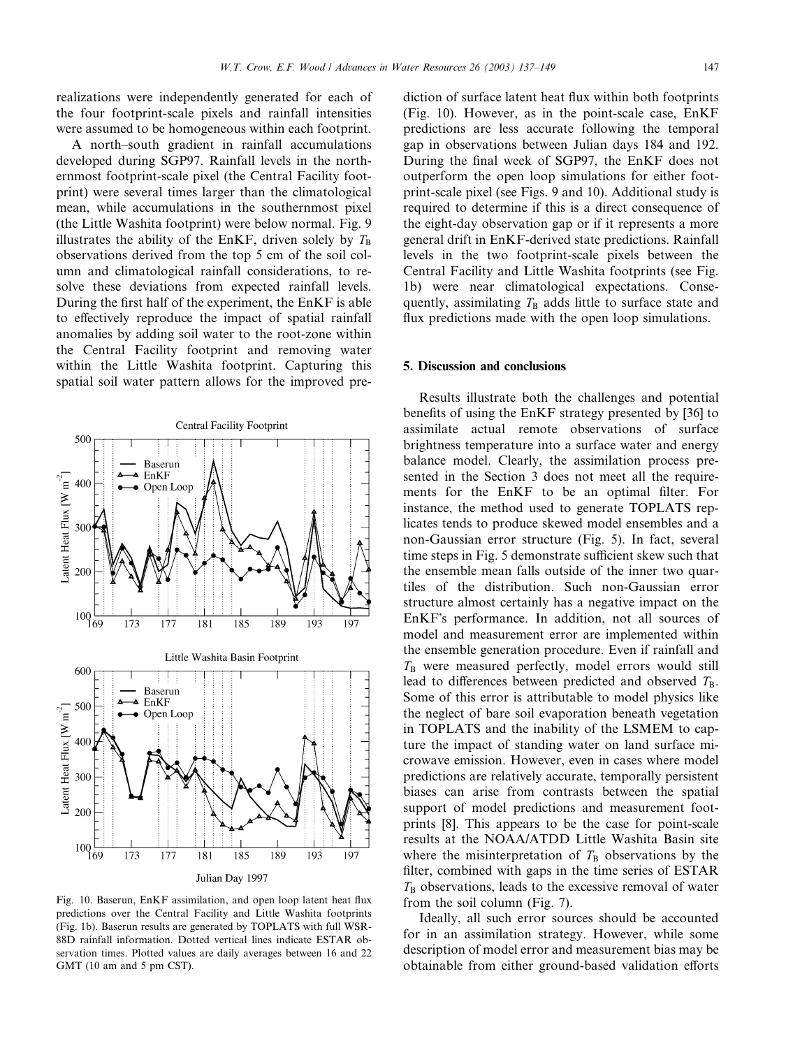realizations were independently generated for each of the four footprint-scale pixels and rainfall intensities were assumed to be homogeneous within each footprint.

A north–south gradient in rainfall accumulations developed during SGP97. Rainfall levels in the northernmost footprint-scale pixel (the Central Facility footprint) were several times larger than the climatological mean, while accumulations in the southernmost pixel (the Little Washita footprint) were below normal. Fig. 9 illustrates the ability of the EnKF, driven solely by  $T_{\text{B}}$ observations derived from the top 5 cm of the soil column and climatological rainfall considerations, to resolve these deviations from expected rainfall levels. During the first half of the experiment, the EnKF is able to effectively reproduce the impact of spatial rainfall anomalies by adding soil water to the root-zone within the Central Facility footprint and removing water within the Little Washita footprint. Capturing this spatial soil water pattern allows for the improved pre-



Fig. 10. Baserun, EnKF assimilation, and open loop latent heat flux predictions over the Central Facility and Little Washita footprints (Fig. 1b). Baserun results are generated by TOPLATS with full WSR-88D rainfall information. Dotted vertical lines indicate ESTAR observation times. Plotted values are daily averages between 16 and 22 GMT (10 am and 5 pm CST).

diction of surface latent heat flux within both footprints (Fig. 10). However, as in the point-scale case, EnKF predictions are less accurate following the temporal gap in observations between Julian days 184 and 192. During the final week of SGP97, the EnKF does not outperform the open loop simulations for either footprint-scale pixel (see Figs. 9 and 10). Additional study is required to determine if this is a direct consequence of the eight-day observation gap or if it represents a more general drift in EnKF-derived state predictions. Rainfall levels in the two footprint-scale pixels between the Central Facility and Little Washita footprints (see Fig. 1b) were near climatological expectations. Consequently, assimilating  $T<sub>B</sub>$  adds little to surface state and flux predictions made with the open loop simulations.

## 5. Discussion and conclusions

Results illustrate both the challenges and potential benefits of using the EnKF strategy presented by [36] to assimilate actual remote observations of surface brightness temperature into a surface water and energy balance model. Clearly, the assimilation process presented in the Section 3 does not meet all the requirements for the EnKF to be an optimal filter. For instance, the method used to generate TOPLATS replicates tends to produce skewed model ensembles and a non-Gaussian error structure (Fig. 5). In fact, several time steps in Fig. 5 demonstrate sufficient skew such that the ensemble mean falls outside of the inner two quartiles of the distribution. Such non-Gaussian error structure almost certainly has a negative impact on the EnKF's performance. In addition, not all sources of model and measurement error are implemented within the ensemble generation procedure. Even if rainfall and  $T<sub>B</sub>$  were measured perfectly, model errors would still lead to differences between predicted and observed  $T_{\text{B}}$ . Some of this error is attributable to model physics like the neglect of bare soil evaporation beneath vegetation in TOPLATS and the inability of the LSMEM to capture the impact of standing water on land surface microwave emission. However, even in cases where model predictions are relatively accurate, temporally persistent biases can arise from contrasts between the spatial support of model predictions and measurement footprints [8]. This appears to be the case for point-scale results at the NOAA/ATDD Little Washita Basin site where the misinterpretation of  $T<sub>B</sub>$  observations by the filter, combined with gaps in the time series of ESTAR  $T<sub>B</sub>$  observations, leads to the excessive removal of water from the soil column (Fig. 7).

Ideally, all such error sources should be accounted for in an assimilation strategy. However, while some description of model error and measurement bias may be obtainable from either ground-based validation efforts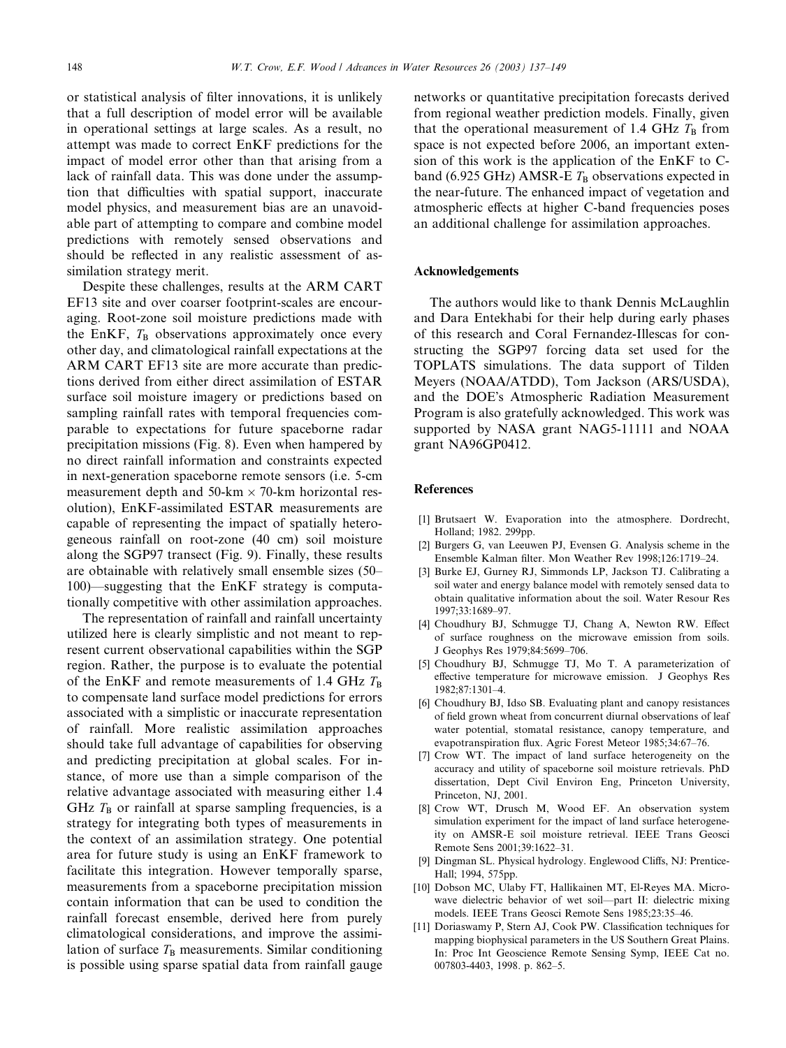or statistical analysis of filter innovations, it is unlikely that a full description of model error will be available in operational settings at large scales. As a result, no attempt was made to correct EnKF predictions for the impact of model error other than that arising from a lack of rainfall data. This was done under the assumption that difficulties with spatial support, inaccurate model physics, and measurement bias are an unavoidable part of attempting to compare and combine model predictions with remotely sensed observations and should be reflected in any realistic assessment of assimilation strategy merit.

Despite these challenges, results at the ARM CART EF13 site and over coarser footprint-scales are encouraging. Root-zone soil moisture predictions made with the EnKF,  $T_B$  observations approximately once every other day, and climatological rainfall expectations at the ARM CART EF13 site are more accurate than predictions derived from either direct assimilation of ESTAR surface soil moisture imagery or predictions based on sampling rainfall rates with temporal frequencies comparable to expectations for future spaceborne radar precipitation missions (Fig. 8). Even when hampered by no direct rainfall information and constraints expected in next-generation spaceborne remote sensors (i.e. 5-cm measurement depth and  $50$ -km  $\times$  70-km horizontal resolution), EnKF-assimilated ESTAR measurements are capable of representing the impact of spatially heterogeneous rainfall on root-zone (40 cm) soil moisture along the SGP97 transect (Fig. 9). Finally, these results are obtainable with relatively small ensemble sizes (50– 100)––suggesting that the EnKF strategy is computationally competitive with other assimilation approaches.

The representation of rainfall and rainfall uncertainty utilized here is clearly simplistic and not meant to represent current observational capabilities within the SGP region. Rather, the purpose is to evaluate the potential of the EnKF and remote measurements of 1.4 GHz  $T_{\rm B}$ to compensate land surface model predictions for errors associated with a simplistic or inaccurate representation of rainfall. More realistic assimilation approaches should take full advantage of capabilities for observing and predicting precipitation at global scales. For instance, of more use than a simple comparison of the relative advantage associated with measuring either 1.4 GHz  $T<sub>B</sub>$  or rainfall at sparse sampling frequencies, is a strategy for integrating both types of measurements in the context of an assimilation strategy. One potential area for future study is using an EnKF framework to facilitate this integration. However temporally sparse, measurements from a spaceborne precipitation mission contain information that can be used to condition the rainfall forecast ensemble, derived here from purely climatological considerations, and improve the assimilation of surface  $T<sub>B</sub>$  measurements. Similar conditioning is possible using sparse spatial data from rainfall gauge networks or quantitative precipitation forecasts derived from regional weather prediction models. Finally, given that the operational measurement of 1.4 GHz  $T_{\rm B}$  from space is not expected before 2006, an important extension of this work is the application of the EnKF to Cband (6.925 GHz) AMSR-E  $T_B$  observations expected in the near-future. The enhanced impact of vegetation and atmospheric effects at higher C-band frequencies poses an additional challenge for assimilation approaches.

#### Acknowledgements

The authors would like to thank Dennis McLaughlin and Dara Entekhabi for their help during early phases of this research and Coral Fernandez-Illescas for constructing the SGP97 forcing data set used for the TOPLATS simulations. The data support of Tilden Meyers (NOAA/ATDD), Tom Jackson (ARS/USDA), and the DOE's Atmospheric Radiation Measurement Program is also gratefully acknowledged. This work was supported by NASA grant NAG5-11111 and NOAA grant NA96GP0412.

## References

- [1] Brutsaert W. Evaporation into the atmosphere. Dordrecht, Holland; 1982. 299pp.
- [2] Burgers G, van Leeuwen PJ, Evensen G. Analysis scheme in the Ensemble Kalman filter. Mon Weather Rev 1998;126:1719–24.
- [3] Burke EJ, Gurney RJ, Simmonds LP, Jackson TJ. Calibrating a soil water and energy balance model with remotely sensed data to obtain qualitative information about the soil. Water Resour Res 1997;33:1689–97.
- [4] Choudhury BJ, Schmugge TJ, Chang A, Newton RW. Effect of surface roughness on the microwave emission from soils. J Geophys Res 1979;84:5699–706.
- [5] Choudhury BJ, Schmugge TJ, Mo T. A parameterization of effective temperature for microwave emission. J Geophys Res 1982;87:1301–4.
- [6] Choudhury BJ, Idso SB. Evaluating plant and canopy resistances of field grown wheat from concurrent diurnal observations of leaf water potential, stomatal resistance, canopy temperature, and evapotranspiration flux. Agric Forest Meteor 1985;34:67–76.
- [7] Crow WT. The impact of land surface heterogeneity on the accuracy and utility of spaceborne soil moisture retrievals. PhD dissertation, Dept Civil Environ Eng, Princeton University, Princeton, NJ, 2001.
- [8] Crow WT, Drusch M, Wood EF. An observation system simulation experiment for the impact of land surface heterogeneity on AMSR-E soil moisture retrieval. IEEE Trans Geosci Remote Sens 2001;39:1622–31.
- [9] Dingman SL. Physical hydrology. Englewood Cliffs, NJ: Prentice-Hall; 1994, 575pp.
- [10] Dobson MC, Ulaby FT, Hallikainen MT, El-Reyes MA. Microwave dielectric behavior of wet soil––part II: dielectric mixing models. IEEE Trans Geosci Remote Sens 1985;23:35–46.
- [11] Doriaswamy P, Stern AJ, Cook PW. Classification techniques for mapping biophysical parameters in the US Southern Great Plains. In: Proc Int Geoscience Remote Sensing Symp, IEEE Cat no. 007803-4403, 1998. p. 862–5.